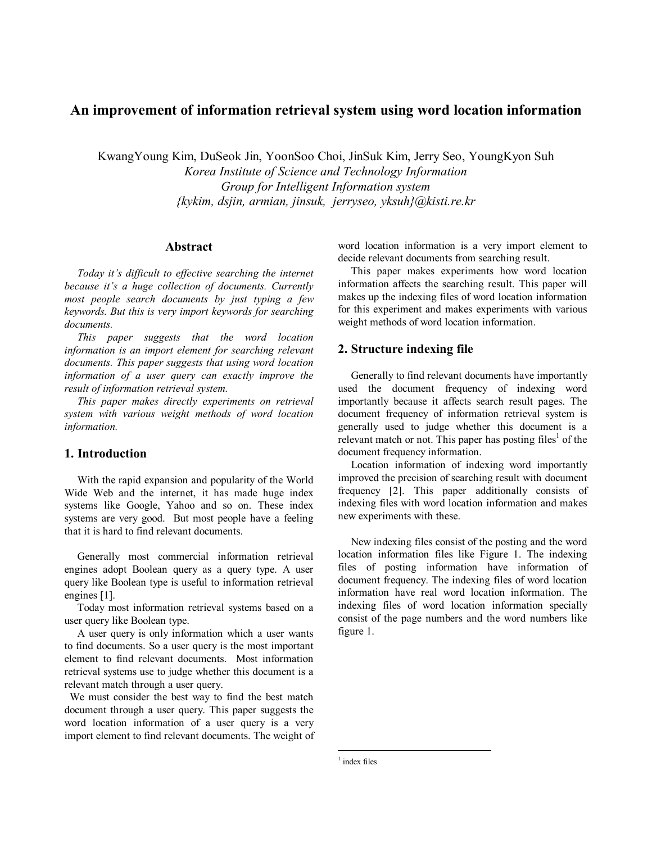# **An improvement of information retrieval system using word location information**

KwangYoung Kim, DuSeok Jin, YoonSoo Choi, JinSuk Kim, Jerry Seo, YoungKyon Suh *Korea Institute of Science and Technology Information Group for Intelligent Information system {kykim, dsjin, armian, jinsuk, jerryseo, yksuh}@kisti.re.kr*

### **Abstract**

Today it's difficult to effective searching the internet *because itís a huge collection of documents. Currently most people search documents by just typing a few keywords. But this is very import keywords for searching documents.* 

*This paper suggests that the word location information is an import element for searching relevant documents. This paper suggests that using word location information of a user query can exactly improve the result of information retrieval system.* 

*This paper makes directly experiments on retrieval system with various weight methods of word location information.* 

## **1. Introduction**

With the rapid expansion and popularity of the World Wide Web and the internet, it has made huge index systems like Google, Yahoo and so on. These index systems are very good. But most people have a feeling that it is hard to find relevant documents.

Generally most commercial information retrieval engines adopt Boolean query as a query type. A user query like Boolean type is useful to information retrieval engines [1].

Today most information retrieval systems based on a user query like Boolean type.

A user query is only information which a user wants to find documents. So a user query is the most important element to find relevant documents. Most information retrieval systems use to judge whether this document is a relevant match through a user query.

We must consider the best way to find the best match document through a user query. This paper suggests the word location information of a user query is a very import element to find relevant documents. The weight of word location information is a very import element to decide relevant documents from searching result.

This paper makes experiments how word location information affects the searching result. This paper will makes up the indexing files of word location information for this experiment and makes experiments with various weight methods of word location information.

## **2. Structure indexing file**

Generally to find relevant documents have importantly used the document frequency of indexing word importantly because it affects search result pages. The document frequency of information retrieval system is generally used to judge whether this document is a relevant match or not. This paper has posting files<sup>1</sup> of the document frequency information.

Location information of indexing word importantly improved the precision of searching result with document frequency [2]. This paper additionally consists of indexing files with word location information and makes new experiments with these.

New indexing files consist of the posting and the word location information files like Figure 1. The indexing files of posting information have information of document frequency. The indexing files of word location information have real word location information. The indexing files of word location information specially consist of the page numbers and the word numbers like figure 1.

1 index files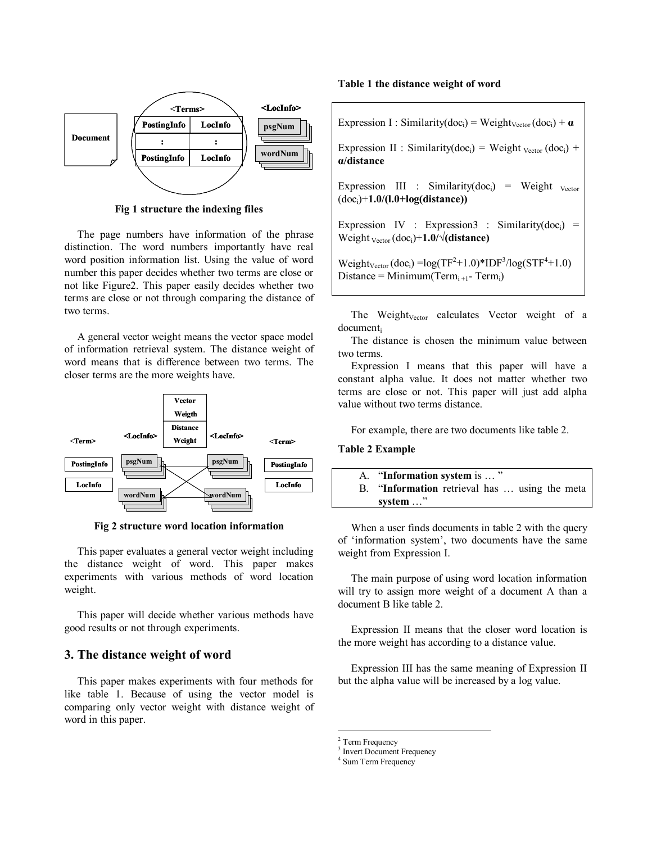

**Fig 1 structure the indexing files** 

The page numbers have information of the phrase distinction. The word numbers importantly have real word position information list. Using the value of word number this paper decides whether two terms are close or not like Figure2. This paper easily decides whether two terms are close or not through comparing the distance of two terms.

A general vector weight means the vector space model of information retrieval system. The distance weight of word means that is difference between two terms. The closer terms are the more weights have.



**Fig 2 structure word location information** 

This paper evaluates a general vector weight including the distance weight of word. This paper makes experiments with various methods of word location weight.

This paper will decide whether various methods have good results or not through experiments.

# **3. The distance weight of word**

This paper makes experiments with four methods for like table 1. Because of using the vector model is comparing only vector weight with distance weight of word in this paper.

#### **Table 1 the distance weight of word**

| Expression I: Similarity(doc <sub>i</sub> ) = Weight <sub>Vector</sub> (doc <sub>i</sub> ) + $\alpha$                                          |
|------------------------------------------------------------------------------------------------------------------------------------------------|
| Expression II : Similarity(doc <sub>i</sub> ) = Weight <sub>Vector</sub> (doc <sub>i</sub> ) +<br>a/distance                                   |
| Expression III : Similarity(doc <sub>i</sub> ) = Weight $v_{\text{ector}}$<br>$(doci)+1.0/(1.0+log(distance))$                                 |
| Expression IV : Expression3 : Similarity(doc <sub>i</sub> ) =<br>Weight $v_{\text{ector}}$ (doc <sub>i</sub> )+1.0/ $\sqrt{\text{distance}}$ ) |
| $W_{\alpha\alpha\beta\gamma}$ (dee) $-\frac{1}{2}e^{(TE)^2+1}$ $0$ $\sqrt{F_{\alpha\beta}^{3}}$ $\frac{1}{2}e^{(C_{\alpha}^{2}+1)}$ $0$ )      |

 $Weight_{vector}(doc_i) = log(TF^2+1.0)*IDF^3/log(STF^4+1.0)$ Distance = Minimum(Term<sub>i+1</sub>-Term<sub>i</sub>)

The Weight<sub>Vector</sub> calculates Vector weight of a document<sub>i</sub>

The distance is chosen the minimum value between two terms.

Expression I means that this paper will have a constant alpha value. It does not matter whether two terms are close or not. This paper will just add alpha value without two terms distance.

For example, there are two documents like table 2.

### **Table 2 Example**

| A. "Information system is "                   |
|-----------------------------------------------|
| B. "Information retrieval has  using the meta |
| system $\ldots$ "                             |

When a user finds documents in table 2 with the query of 'information system', two documents have the same weight from Expression I.

The main purpose of using word location information will try to assign more weight of a document A than a document B like table 2.

Expression II means that the closer word location is the more weight has according to a distance value.

Expression III has the same meaning of Expression II but the alpha value will be increased by a log value.

<sup>2</sup> Term Frequency

1

<sup>3</sup> Invert Document Frequency

<sup>4</sup> Sum Term Frequency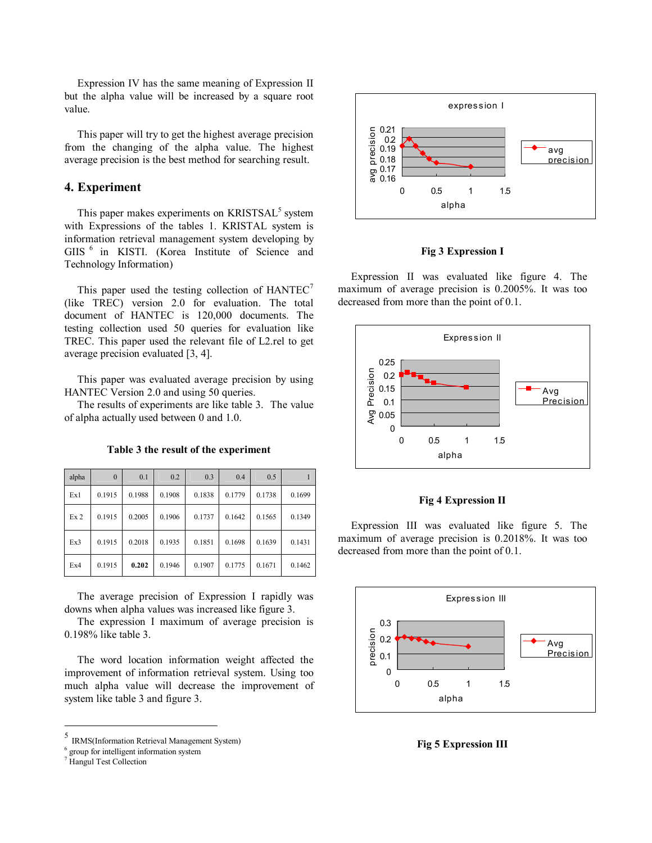Expression IV has the same meaning of Expression II but the alpha value will be increased by a square root value.

This paper will try to get the highest average precision from the changing of the alpha value. The highest average precision is the best method for searching result.

# **4. Experiment**

This paper makes experiments on KRISTSAL<sup>5</sup> system with Expressions of the tables 1. KRISTAL system is information retrieval management system developing by GIIS 6 in KISTI. (Korea Institute of Science and Technology Information)

This paper used the testing collection of  $HANTEC<sup>7</sup>$ (like TREC) version 2.0 for evaluation. The total document of HANTEC is 120,000 documents. The testing collection used 50 queries for evaluation like TREC. This paper used the relevant file of L2.rel to get average precision evaluated [3, 4].

This paper was evaluated average precision by using HANTEC Version 2.0 and using 50 queries.

The results of experiments are like table 3. The value of alpha actually used between 0 and 1.0.

| alpha           | $\Omega$ | 0.1    | 0.2    | 0.3    | 0.4    | 0.5    |        |
|-----------------|----------|--------|--------|--------|--------|--------|--------|
| Ex1             | 0.1915   | 0.1988 | 0.1908 | 0.1838 | 0.1779 | 0.1738 | 0.1699 |
| Ex <sub>2</sub> | 0.1915   | 0.2005 | 0.1906 | 0.1737 | 0.1642 | 0.1565 | 0.1349 |
| Ex3             | 0.1915   | 0.2018 | 0.1935 | 0.1851 | 0.1698 | 0.1639 | 0.1431 |
| Ex4             | 0.1915   | 0.202  | 0.1946 | 0.1907 | 0.1775 | 0.1671 | 0.1462 |

**Table 3 the result of the experiment** 

The average precision of Expression I rapidly was downs when alpha values was increased like figure 3.

The expression I maximum of average precision is 0.198% like table 3.

The word location information weight affected the improvement of information retrieval system. Using too much alpha value will decrease the improvement of system like table 3 and figure 3.

 $\overline{a}$ 



**Fig 3 Expression I** 

Expression II was evaluated like figure 4. The maximum of average precision is 0.2005%. It was too decreased from more than the point of 0.1.



#### **Fig 4 Expression II**

Expression III was evaluated like figure 5. The maximum of average precision is 0.2018%. It was too decreased from more than the point of 0.1.



**Fig 5 Expression III** 

<sup>5</sup> IRMS(Information Retrieval Management System)

<sup>&</sup>lt;sup>6</sup> group for intelligent information system

<sup>&</sup>lt;sup>7</sup> Hangul Test Collection